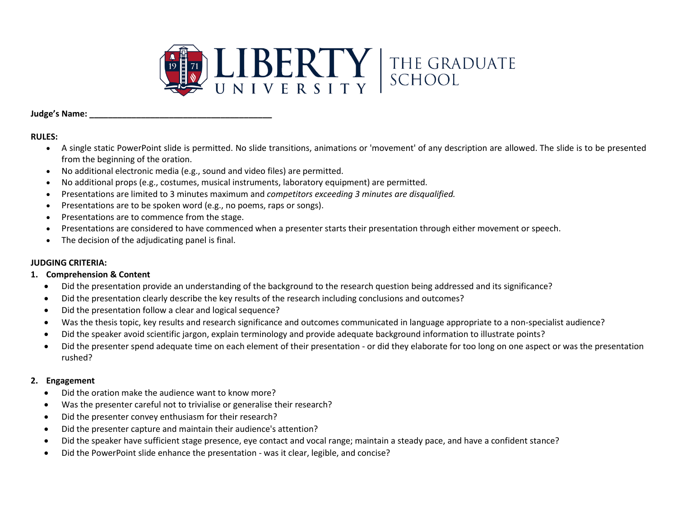

#### **Judge's Name: \_\_\_\_\_\_\_\_\_\_\_\_\_\_\_\_\_\_\_\_\_\_\_\_\_\_\_\_\_\_\_\_\_\_\_\_\_\_\_**

## **RULES:**

- A single static PowerPoint slide is permitted. No slide transitions, animations or 'movement' of any description are allowed. The slide is to be presented from the beginning of the oration.
- No additional electronic media (e.g., sound and video files) are permitted.
- No additional props (e.g., costumes, musical instruments, laboratory equipment) are permitted.
- Presentations are limited to 3 minutes maximum and *competitors exceeding 3 minutes are disqualified.*
- Presentations are to be spoken word (e.g., no poems, raps or songs).
- Presentations are to commence from the stage.
- Presentations are considered to have commenced when a presenter starts their presentation through either movement or speech.
- The decision of the adjudicating panel is final.

# **JUDGING CRITERIA:**

### **1. Comprehension & Content**

- Did the presentation provide an understanding of the background to the research question being addressed and its significance?
- Did the presentation clearly describe the key results of the research including conclusions and outcomes?
- Did the presentation follow a clear and logical sequence?
- Was the thesis topic, key results and research significance and outcomes communicated in language appropriate to a non-specialist audience?
- Did the speaker avoid scientific jargon, explain terminology and provide adequate background information to illustrate points?
- Did the presenter spend adequate time on each element of their presentation or did they elaborate for too long on one aspect or was the presentation rushed?

### **2. Engagement**

- Did the oration make the audience want to know more?
- Was the presenter careful not to trivialise or generalise their research?
- Did the presenter convey enthusiasm for their research?
- Did the presenter capture and maintain their audience's attention?
- Did the speaker have sufficient stage presence, eye contact and vocal range; maintain a steady pace, and have a confident stance?
- Did the PowerPoint slide enhance the presentation was it clear, legible, and concise?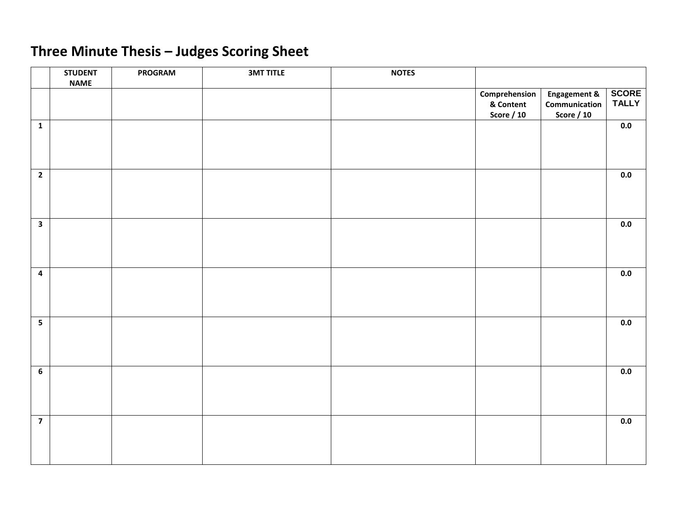# **Three Minute Thesis – Judges Scoring Sheet**

|                         | <b>STUDENT</b><br><b>NAME</b> | <b>PROGRAM</b> | <b>3MT TITLE</b> | <b>NOTES</b> |                                                 |                                                               |                              |
|-------------------------|-------------------------------|----------------|------------------|--------------|-------------------------------------------------|---------------------------------------------------------------|------------------------------|
|                         |                               |                |                  |              | Comprehension<br>& Content<br><b>Score / 10</b> | <b>Engagement &amp;</b><br>Communication<br><b>Score / 10</b> | <b>SCORE</b><br><b>TALLY</b> |
| $\mathbf{1}$            |                               |                |                  |              |                                                 |                                                               | 0.0                          |
| $\overline{2}$          |                               |                |                  |              |                                                 |                                                               | $0.0\,$                      |
| $\overline{\mathbf{3}}$ |                               |                |                  |              |                                                 |                                                               | $0.0\,$                      |
| $\overline{\mathbf{4}}$ |                               |                |                  |              |                                                 |                                                               | $0.0\,$                      |
| $5\phantom{a}$          |                               |                |                  |              |                                                 |                                                               | $0.0\,$                      |
| $\overline{6}$          |                               |                |                  |              |                                                 |                                                               | 0.0                          |
| $\overline{7}$          |                               |                |                  |              |                                                 |                                                               | 0.0                          |